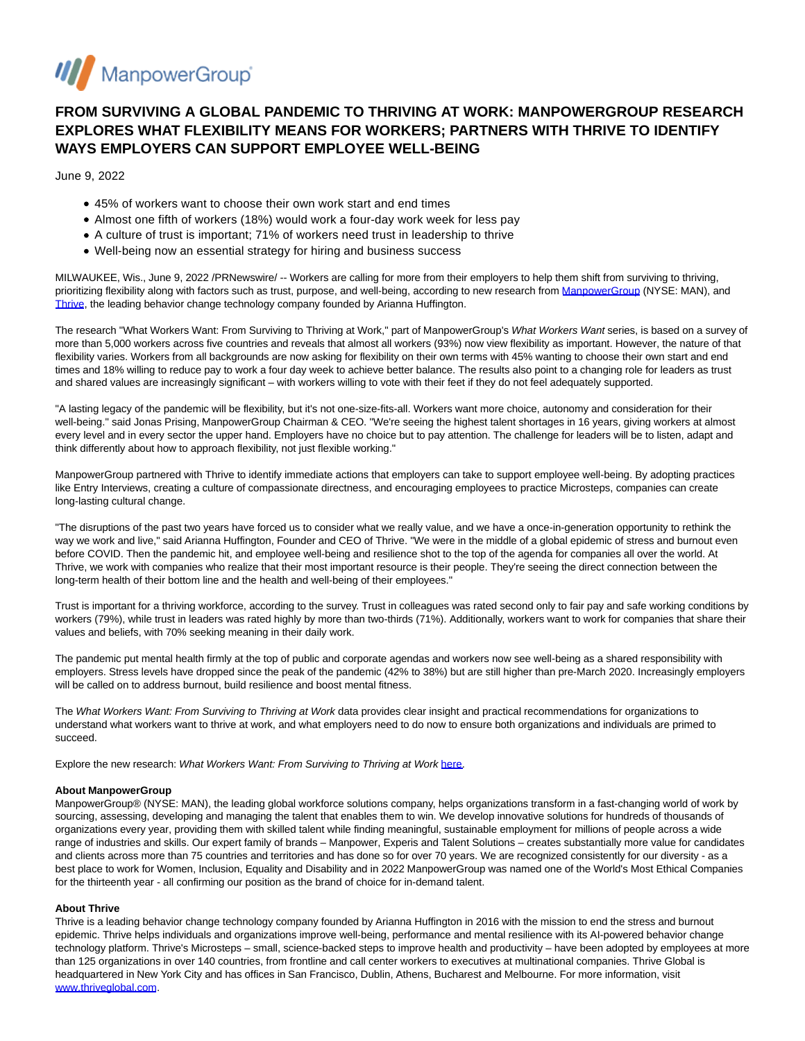

# **FROM SURVIVING A GLOBAL PANDEMIC TO THRIVING AT WORK: MANPOWERGROUP RESEARCH EXPLORES WHAT FLEXIBILITY MEANS FOR WORKERS; PARTNERS WITH THRIVE TO IDENTIFY WAYS EMPLOYERS CAN SUPPORT EMPLOYEE WELL-BEING**

June 9, 2022

- 45% of workers want to choose their own work start and end times
- Almost one fifth of workers (18%) would work a four-day work week for less pay
- A culture of trust is important; 71% of workers need trust in leadership to thrive
- Well-being now an essential strategy for hiring and business success

MILWAUKEE, Wis., June 9, 2022 /PRNewswire/ -- Workers are calling for more from their employers to help them shift from surviving to thriving, prioritizing flexibility along with factors such as trust, purpose, and well-being, according to new research from [ManpowerGroup \(](https://c212.net/c/link/?t=0&l=en&o=3562372-1&h=2469377239&u=https%3A%2F%2Fmanpowergroup.com%2F&a=ManpowerGroup)NYSE: MAN), and [Thrive,](https://c212.net/c/link/?t=0&l=en&o=3562372-1&h=3084724110&u=https%3A%2F%2Fthriveglobal.com%2F&a=Thrive) the leading behavior change technology company founded by Arianna Huffington.

The research "What Workers Want: From Surviving to Thriving at Work," part of ManpowerGroup's What Workers Want series, is based on a survey of more than 5,000 workers across five countries and reveals that almost all workers (93%) now view flexibility as important. However, the nature of that flexibility varies. Workers from all backgrounds are now asking for flexibility on their own terms with 45% wanting to choose their own start and end times and 18% willing to reduce pay to work a four day week to achieve better balance. The results also point to a changing role for leaders as trust and shared values are increasingly significant – with workers willing to vote with their feet if they do not feel adequately supported.

"A lasting legacy of the pandemic will be flexibility, but it's not one-size-fits-all. Workers want more choice, autonomy and consideration for their well-being." said Jonas Prising, ManpowerGroup Chairman & CEO. "We're seeing the highest talent shortages in 16 years, giving workers at almost every level and in every sector the upper hand. Employers have no choice but to pay attention. The challenge for leaders will be to listen, adapt and think differently about how to approach flexibility, not just flexible working."

ManpowerGroup partnered with Thrive to identify immediate actions that employers can take to support employee well-being. By adopting practices like Entry Interviews, creating a culture of compassionate directness, and encouraging employees to practice Microsteps, companies can create long-lasting cultural change.

"The disruptions of the past two years have forced us to consider what we really value, and we have a once-in-generation opportunity to rethink the way we work and live," said Arianna Huffington, Founder and CEO of Thrive. "We were in the middle of a global epidemic of stress and burnout even before COVID. Then the pandemic hit, and employee well-being and resilience shot to the top of the agenda for companies all over the world. At Thrive, we work with companies who realize that their most important resource is their people. They're seeing the direct connection between the long-term health of their bottom line and the health and well-being of their employees."

Trust is important for a thriving workforce, according to the survey. Trust in colleagues was rated second only to fair pay and safe working conditions by workers (79%), while trust in leaders was rated highly by more than two-thirds (71%). Additionally, workers want to work for companies that share their values and beliefs, with 70% seeking meaning in their daily work.

The pandemic put mental health firmly at the top of public and corporate agendas and workers now see well-being as a shared responsibility with employers. Stress levels have dropped since the peak of the pandemic (42% to 38%) but are still higher than pre-March 2020. Increasingly employers will be called on to address burnout, build resilience and boost mental fitness.

The What Workers Want: From Surviving to Thriving at Work data provides clear insight and practical recommendations for organizations to understand what workers want to thrive at work, and what employers need to do now to ensure both organizations and individuals are primed to succeed.

Explore the new research: What Workers Want: From Surviving to Thriving at Work [here.](https://c212.net/c/link/?t=0&l=en&o=3562372-1&h=3224631608&u=https%3A%2F%2Fgo.manpowergroup.com%2Fwhatworkerswant&a=here)

## **About ManpowerGroup**

ManpowerGroup® (NYSE: MAN), the leading global workforce solutions company, helps organizations transform in a fast-changing world of work by sourcing, assessing, developing and managing the talent that enables them to win. We develop innovative solutions for hundreds of thousands of organizations every year, providing them with skilled talent while finding meaningful, sustainable employment for millions of people across a wide range of industries and skills. Our expert family of brands – Manpower, Experis and Talent Solutions – creates substantially more value for candidates and clients across more than 75 countries and territories and has done so for over 70 years. We are recognized consistently for our diversity - as a best place to work for Women, Inclusion, Equality and Disability and in 2022 ManpowerGroup was named one of the World's Most Ethical Companies for the thirteenth year - all confirming our position as the brand of choice for in-demand talent.

## **About Thrive**

Thrive is a leading behavior change technology company founded by Arianna Huffington in 2016 with the mission to end the stress and burnout epidemic. Thrive helps individuals and organizations improve well-being, performance and mental resilience with its AI-powered behavior change technology platform. Thrive's Microsteps – small, science-backed steps to improve health and productivity – have been adopted by employees at more than 125 organizations in over 140 countries, from frontline and call center workers to executives at multinational companies. Thrive Global is headquartered in New York City and has offices in San Francisco, Dublin, Athens, Bucharest and Melbourne. For more information, visit [www.thriveglobal.com.](https://c212.net/c/link/?t=0&l=en&o=3562372-1&h=2044881997&u=https%3A%2F%2Fcts.businesswire.com%2Fct%2FCT%3Fid%3Dsmartlink%26url%3Dhttp%253A%252F%252Fwww.thriveglobal.com%252F%26esheet%3D52542103%26newsitemid%3D20211130005455%26lan%3Den-US%26anchor%3Dwww.thriveglobal.com%26index%3D3%26md5%3D2223c13bb24388bcc262e81ce9bb1a90&a=www.thriveglobal.com)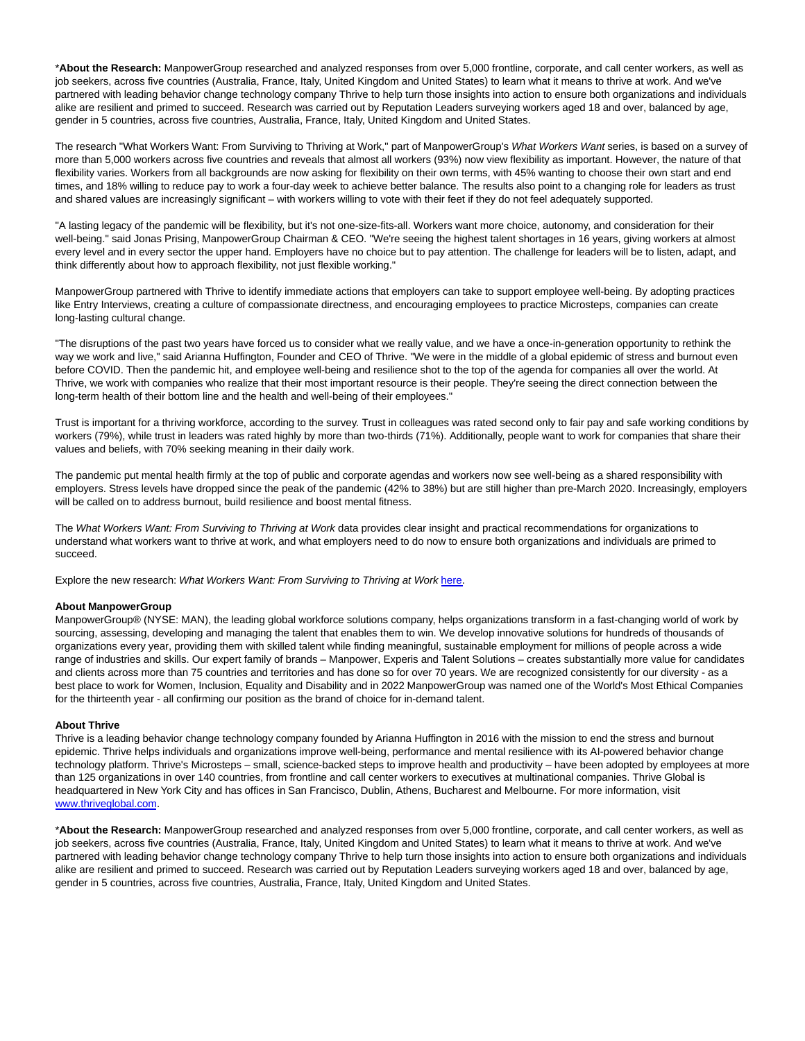\***About the Research:** ManpowerGroup researched and analyzed responses from over 5,000 frontline, corporate, and call center workers, as well as job seekers, across five countries (Australia, France, Italy, United Kingdom and United States) to learn what it means to thrive at work. And we've partnered with leading behavior change technology company Thrive to help turn those insights into action to ensure both organizations and individuals alike are resilient and primed to succeed. Research was carried out by Reputation Leaders surveying workers aged 18 and over, balanced by age, gender in 5 countries, across five countries, Australia, France, Italy, United Kingdom and United States.

The research "What Workers Want: From Surviving to Thriving at Work," part of ManpowerGroup's What Workers Want series, is based on a survey of more than 5,000 workers across five countries and reveals that almost all workers (93%) now view flexibility as important. However, the nature of that flexibility varies. Workers from all backgrounds are now asking for flexibility on their own terms, with 45% wanting to choose their own start and end times, and 18% willing to reduce pay to work a four-day week to achieve better balance. The results also point to a changing role for leaders as trust and shared values are increasingly significant – with workers willing to vote with their feet if they do not feel adequately supported.

"A lasting legacy of the pandemic will be flexibility, but it's not one-size-fits-all. Workers want more choice, autonomy, and consideration for their well-being." said Jonas Prising, ManpowerGroup Chairman & CEO. "We're seeing the highest talent shortages in 16 years, giving workers at almost every level and in every sector the upper hand. Employers have no choice but to pay attention. The challenge for leaders will be to listen, adapt, and think differently about how to approach flexibility, not just flexible working."

ManpowerGroup partnered with Thrive to identify immediate actions that employers can take to support employee well-being. By adopting practices like Entry Interviews, creating a culture of compassionate directness, and encouraging employees to practice Microsteps, companies can create long-lasting cultural change.

"The disruptions of the past two years have forced us to consider what we really value, and we have a once-in-generation opportunity to rethink the way we work and live," said Arianna Huffington, Founder and CEO of Thrive. "We were in the middle of a global epidemic of stress and burnout even before COVID. Then the pandemic hit, and employee well-being and resilience shot to the top of the agenda for companies all over the world. At Thrive, we work with companies who realize that their most important resource is their people. They're seeing the direct connection between the long-term health of their bottom line and the health and well-being of their employees."

Trust is important for a thriving workforce, according to the survey. Trust in colleagues was rated second only to fair pay and safe working conditions by workers (79%), while trust in leaders was rated highly by more than two-thirds (71%). Additionally, people want to work for companies that share their values and beliefs, with 70% seeking meaning in their daily work.

The pandemic put mental health firmly at the top of public and corporate agendas and workers now see well-being as a shared responsibility with employers. Stress levels have dropped since the peak of the pandemic (42% to 38%) but are still higher than pre-March 2020. Increasingly, employers will be called on to address burnout, build resilience and boost mental fitness.

The What Workers Want: From Surviving to Thriving at Work data provides clear insight and practical recommendations for organizations to understand what workers want to thrive at work, and what employers need to do now to ensure both organizations and individuals are primed to succeed.

Explore the new research: What Workers Want: From Surviving to Thriving at Work [here.](https://c212.net/c/link/?t=0&l=en&o=3562372-1&h=3224631608&u=https%3A%2F%2Fgo.manpowergroup.com%2Fwhatworkerswant&a=here)

#### **About ManpowerGroup**

ManpowerGroup® (NYSE: MAN), the leading global workforce solutions company, helps organizations transform in a fast-changing world of work by sourcing, assessing, developing and managing the talent that enables them to win. We develop innovative solutions for hundreds of thousands of organizations every year, providing them with skilled talent while finding meaningful, sustainable employment for millions of people across a wide range of industries and skills. Our expert family of brands – Manpower, Experis and Talent Solutions – creates substantially more value for candidates and clients across more than 75 countries and territories and has done so for over 70 years. We are recognized consistently for our diversity - as a best place to work for Women, Inclusion, Equality and Disability and in 2022 ManpowerGroup was named one of the World's Most Ethical Companies for the thirteenth year - all confirming our position as the brand of choice for in-demand talent.

#### **About Thrive**

Thrive is a leading behavior change technology company founded by Arianna Huffington in 2016 with the mission to end the stress and burnout epidemic. Thrive helps individuals and organizations improve well-being, performance and mental resilience with its AI-powered behavior change technology platform. Thrive's Microsteps – small, science-backed steps to improve health and productivity – have been adopted by employees at more than 125 organizations in over 140 countries, from frontline and call center workers to executives at multinational companies. Thrive Global is headquartered in New York City and has offices in San Francisco, Dublin, Athens, Bucharest and Melbourne. For more information, visit [www.thriveglobal.com.](https://c212.net/c/link/?t=0&l=en&o=3562372-1&h=2044881997&u=https%3A%2F%2Fcts.businesswire.com%2Fct%2FCT%3Fid%3Dsmartlink%26url%3Dhttp%253A%252F%252Fwww.thriveglobal.com%252F%26esheet%3D52542103%26newsitemid%3D20211130005455%26lan%3Den-US%26anchor%3Dwww.thriveglobal.com%26index%3D3%26md5%3D2223c13bb24388bcc262e81ce9bb1a90&a=www.thriveglobal.com)

\***About the Research:** ManpowerGroup researched and analyzed responses from over 5,000 frontline, corporate, and call center workers, as well as job seekers, across five countries (Australia, France, Italy, United Kingdom and United States) to learn what it means to thrive at work. And we've partnered with leading behavior change technology company Thrive to help turn those insights into action to ensure both organizations and individuals alike are resilient and primed to succeed. Research was carried out by Reputation Leaders surveying workers aged 18 and over, balanced by age, gender in 5 countries, across five countries, Australia, France, Italy, United Kingdom and United States.